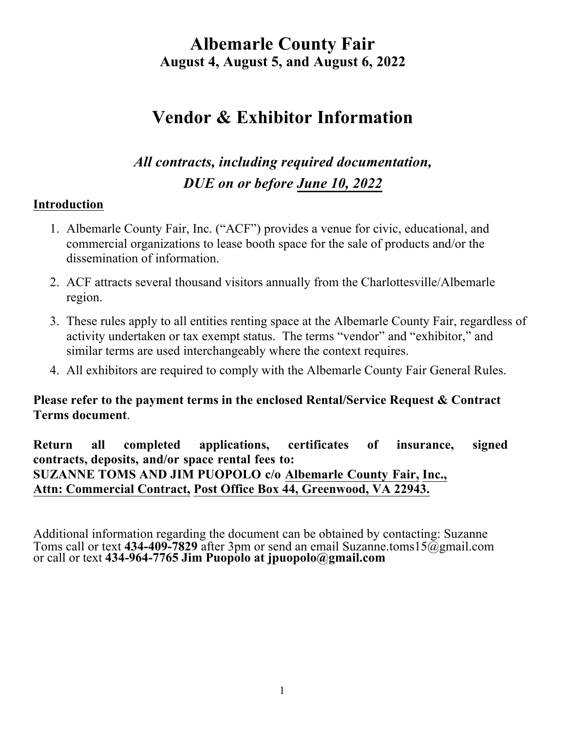# **Vendor & Exhibitor Information**

## *All contracts, including required documentation, DUE on or before June 10, 2022*

### **Introduction**

- 1. Albemarle County Fair, Inc. ("ACF") provides a venue for civic, educational, and commercial organizations to lease booth space for the sale of products and/or the dissemination of information.
- 2. ACF attracts several thousand visitors annually from the Charlottesville/Albemarle region.
- 3. These rules apply to all entities renting space at the Albemarle County Fair, regardless of activity undertaken or tax exempt status. The terms "vendor" and "exhibitor," and similar terms are used interchangeably where the context requires.
- 4. All exhibitors are required to comply with the Albemarle County Fair General Rules.

### **Please refer to the payment terms in the enclosed Rental/Service Request & Contract Terms document**.

**Return all completed applications, certificates of insurance, signed contracts, deposits, and/or space rental fees to: SUZANNE TOMS AND JIM PUOPOLO c/o Albemarle County Fair, Inc., Attn: Commercial Contract, Post Office Box 44, Greenwood, VA 22943.**

Additional information regarding the document can be obtained by contacting: Suzanne Toms call or text **434-409-7829** after 3pm or send an email Suzanne.toms15@gmail.com or call or text **434-964-7765 Jim Puopolo at jpuopolo@gmail.com**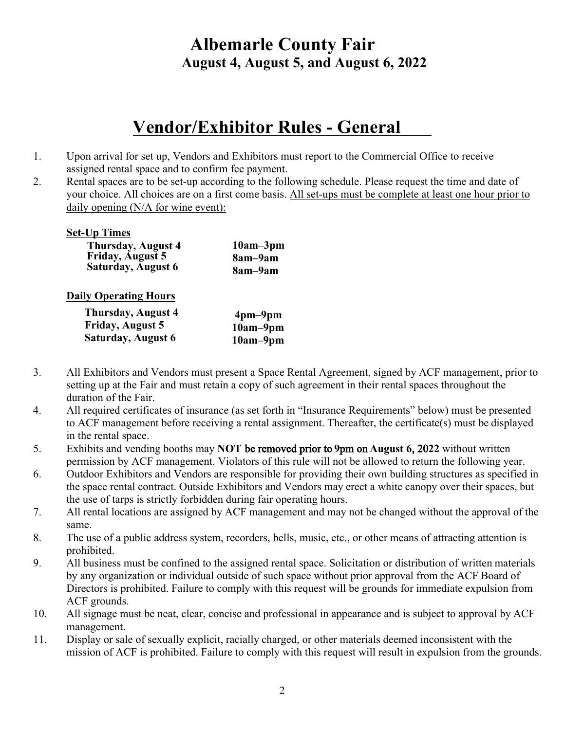# **Vendor/Exhibitor Rules - General**

- 1. Upon arrival for set up, Vendors and Exhibitors must report to the Commercial Office to receive assigned rental space and to confirm fee payment.
- 2. Rental spaces are to be set-up according to the following schedule. Please request the time and date of your choice. All choices are on a first come basis. All set-ups must be complete at least one hour prior to daily opening (N/A for wine event):

#### **Set-Up Times**

| <b>Thursday, August 4</b> | $10am - 3pm$ |
|---------------------------|--------------|
| <b>Friday, August 5</b>   | 8am-9am      |
| <b>Saturday, August 6</b> | 8am-9am      |

#### **Daily Operating Hours**

| Thursday, August 4      | $4pm-9pm$  |
|-------------------------|------------|
| <b>Friday, August 5</b> | $10am-9pm$ |
| Saturday, August 6      | $10am-9pm$ |

- 3. All Exhibitors and Vendors must present a Space Rental Agreement, signed by ACF management, prior to setting up at the Fair and must retain a copy of such agreement in their rental spaces throughout the duration of the Fair.
- 4. All required certificates of insurance (as set forth in "Insurance Requirements" below) must be presented to ACF management before receiving a rental assignment. Thereafter, the certificate(s) must be displayed in the rental space.
- 5. Exhibits and vending booths may **NOT** be removed prior to **9**pm on **August 6**, 20**22** without written permission by ACF management. Violators of this rule will not be allowed to return the following year.
- 6. Outdoor Exhibitors and Vendors are responsible for providing their own building structures as specified in the space rental contract. Outside Exhibitors and Vendors may erect a white canopy over their spaces, but the use of tarps is strictly forbidden during fair operating hours.
- 7. All rental locations are assigned by ACF management and may not be changed without the approval of the same.
- 8. The use of a public address system, recorders, bells, music, etc., or other means of attracting attention is prohibited.
- 9. All business must be confined to the assigned rental space. Solicitation or distribution of written materials by any organization or individual outside of such space without prior approval from the ACF Board of Directors is prohibited. Failure to comply with this request will be grounds for immediate expulsion from ACF grounds.
- 10. All signage must be neat, clear, concise and professional in appearance and is subject to approval by ACF management.
- 11. Display or sale of sexually explicit, racially charged, or other materials deemed inconsistent with the mission of ACF is prohibited. Failure to comply with this request will result in expulsion from the grounds.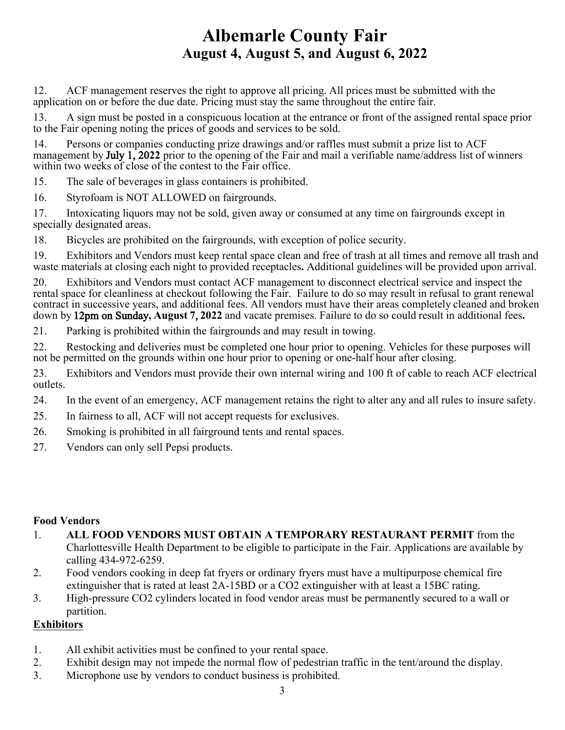12. ACF management reserves the right to approve all pricing. All prices must be submitted with the application on or before the due date. Pricing must stay the same throughout the entire fair.

13. A sign must be posted in a conspicuous location at the entrance or front of the assigned rental space prior to the Fair opening noting the prices of goods and services to be sold.

14. Persons or companies conducting prize drawings and/or raffles must submit a prize list to ACF management by July 1, 20**22** prior to the opening of the Fair and mail a verifiable name/address list of winners within two weeks of close of the contest to the Fair office.

15. The sale of beverages in glass containers is prohibited.

16. Styrofoam is NOT ALLOWED on fairgrounds.

17. Intoxicating liquors may not be sold, given away or consumed at any time on fairgrounds except in specially designated areas.

18. Bicycles are prohibited on the fairgrounds, with exception of police security.

19. Exhibitors and Vendors must keep rental space clean and free of trash at all times and remove all trash and waste materials at closing each night to provided receptacles**.** Additional guidelines will be provided upon arrival.

20. Exhibitors and Vendors must contact ACF management to disconnect electrical service and inspect the rental space for cleanliness at checkout following the Fair. Failure to do so may result in refusal to grant renewal contract in successive years, and additional fees. All vendors must have their areas completely cleaned and broken down by 12pm on Sunday**, August 7**, **2022** and vacate premises. Failure to do so could result in additional fees**.**

21. Parking is prohibited within the fairgrounds and may result in towing.

22. Restocking and deliveries must be completed one hour prior to opening. Vehicles for these purposes will not be permitted on the grounds within one hour prior to opening or one-half hour after closing.

23. Exhibitors and Vendors must provide their own internal wiring and 100 ft of cable to reach ACF electrical outlets.

24. In the event of an emergency, ACF management retains the right to alter any and all rules to insure safety.

- 25. In fairness to all, ACF will not accept requests for exclusives.
- 26. Smoking is prohibited in all fairground tents and rental spaces.
- 27. Vendors can only sell Pepsi products.

#### **Food Vendors**

- 1. **ALL FOOD VENDORS MUST OBTAIN A TEMPORARY RESTAURANT PERMIT** from the Charlottesville Health Department to be eligible to participate in the Fair. Applications are available by calling 434-972-6259.
- 2. Food vendors cooking in deep fat fryers or ordinary fryers must have a multipurpose chemical fire extinguisher that is rated at least 2A-15BD or a CO2 extinguisher with at least a 15BC rating.
- 3. High-pressure CO2 cylinders located in food vendor areas must be permanently secured to a wall or partition.

### **Exhibitors**

- 1. All exhibit activities must be confined to your rental space.
- 2. Exhibit design may not impede the normal flow of pedestrian traffic in the tent/around the display.
- 3. Microphone use by vendors to conduct business is prohibited.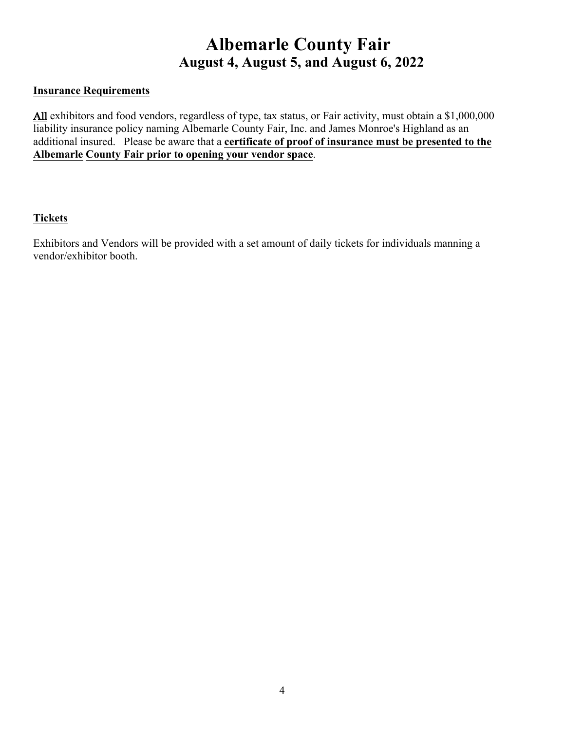#### **Insurance Requirements**

All exhibitors and food vendors, regardless of type, tax status, or Fair activity, must obtain a \$1,000,000 liability insurance policy naming Albemarle County Fair, Inc. and James Monroe's Highland as an additional insured. Please be aware that a **certificate of proof of insurance must be presented to the Albemarle County Fair prior to opening your vendor space**.

#### **Tickets**

Exhibitors and Vendors will be provided with a set amount of daily tickets for individuals manning a vendor/exhibitor booth.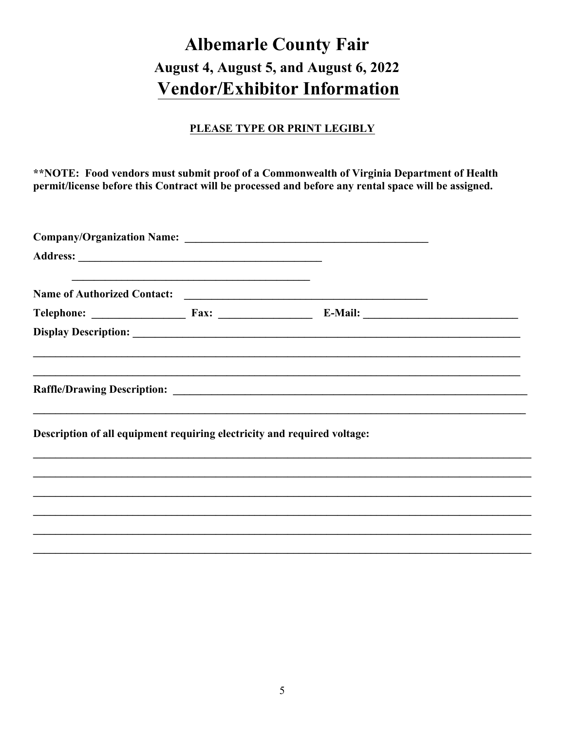# **Albemarle County Fair** August 4, August 5, and August 6, 2022 **Vendor/Exhibitor Information**

### PLEASE TYPE OR PRINT LEGIBLY

\*\*NOTE: Food vendors must submit proof of a Commonwealth of Virginia Department of Health permit/license before this Contract will be processed and before any rental space will be assigned.

| and the control of the control of the control of the control of the control of the control of the control of the |  |  |
|------------------------------------------------------------------------------------------------------------------|--|--|
|                                                                                                                  |  |  |
|                                                                                                                  |  |  |
|                                                                                                                  |  |  |
| Description of all equipment requiring electricity and required voltage:                                         |  |  |
|                                                                                                                  |  |  |
|                                                                                                                  |  |  |
|                                                                                                                  |  |  |
|                                                                                                                  |  |  |
|                                                                                                                  |  |  |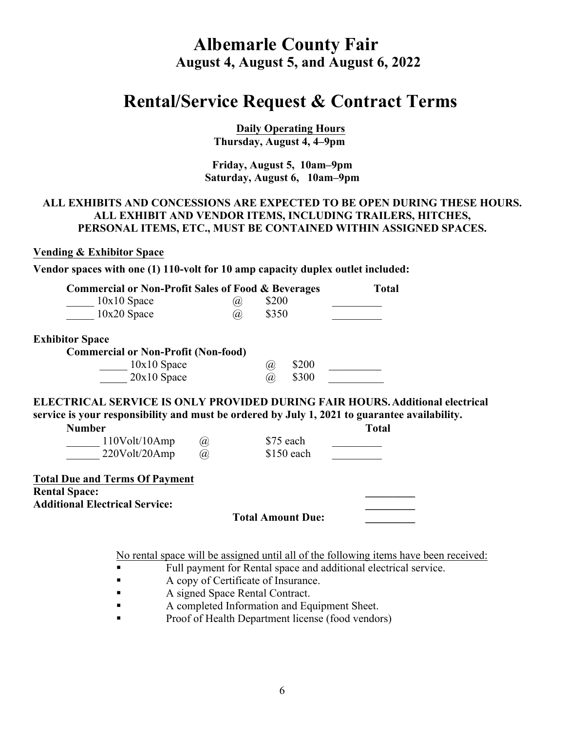## **Rental/Service Request & Contract Terms**

**Daily Operating Hours Thursday, August 4, 4–9pm** 

#### **Friday, August 5, 10am–9pm Saturday, August 6, 10am–9pm**

#### **ALL EXHIBITS AND CONCESSIONS ARE EXPECTED TO BE OPEN DURING THESE HOURS. ALL EXHIBIT AND VENDOR ITEMS, INCLUDING TRAILERS, HITCHES, PERSONAL ITEMS, ETC., MUST BE CONTAINED WITHIN ASSIGNED SPACES.**

#### **Vending & Exhibitor Space**

**Vendor spaces with one (1) 110-volt for 10 amp capacity duplex outlet included:** 

| <b>Commercial or Non-Profit Sales of Food &amp; Beverages</b>                                                                                                                 |    |              | <b>Total</b> |
|-------------------------------------------------------------------------------------------------------------------------------------------------------------------------------|----|--------------|--------------|
| $10x10$ Space                                                                                                                                                                 | Ø) | \$200        |              |
| 10x20 Space                                                                                                                                                                   | @, | \$350        |              |
| <b>Exhibitor Space</b>                                                                                                                                                        |    |              |              |
| <b>Commercial or Non-Profit (Non-food)</b>                                                                                                                                    |    |              |              |
| $10x10$ Space                                                                                                                                                                 |    | \$200<br>(a) |              |
| $20x10$ Space                                                                                                                                                                 |    | \$300<br>(a) |              |
| ELECTRICAL SERVICE IS ONLY PROVIDED DURING FAIR HOURS. Additional electrical<br>service is your responsibility and must be ordered by July 1, 2021 to guarantee availability. |    |              |              |
| <b>Number</b>                                                                                                                                                                 |    |              | <b>Total</b> |
| 110Volt/10Amp<br>$^{\textregistered}$                                                                                                                                         |    | \$75 each    |              |
| 220Volt/20Amp<br>$\mathcal{D}_{\mathcal{A}}$                                                                                                                                  |    | \$150 each   |              |
| <b>Total Due and Terms Of Payment</b>                                                                                                                                         |    |              |              |
| <b>Rental Space:</b>                                                                                                                                                          |    |              |              |
| <b>Additional Electrical Service:</b>                                                                                                                                         |    |              |              |

**Total Amount Due: \_\_\_\_\_\_\_\_\_**

No rental space will be assigned until all of the following items have been received:

- Full payment for Rental space and additional electrical service.
- A copy of Certificate of Insurance.
- A signed Space Rental Contract.
- § A completed Information and Equipment Sheet.
- § Proof of Health Department license (food vendors)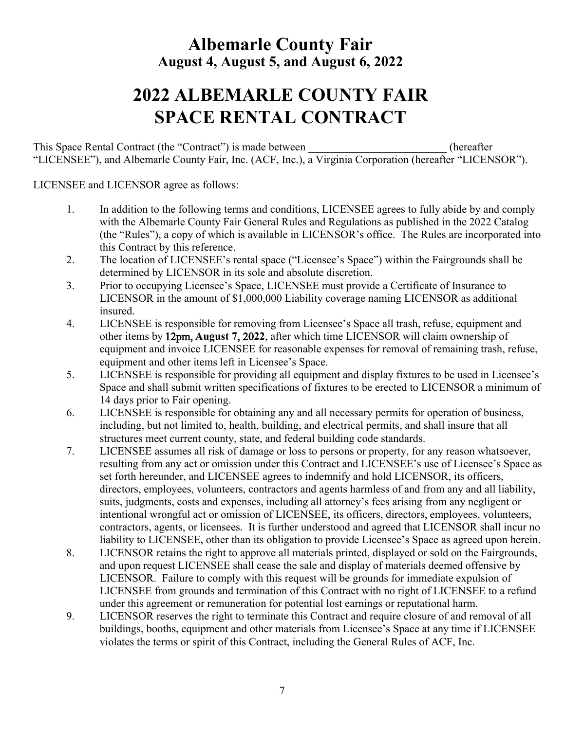# **2022 ALBEMARLE COUNTY FAIR SPACE RENTAL CONTRACT**

This Space Rental Contract (the "Contract") is made between (hereafter "LICENSEE"), and Albemarle County Fair, Inc. (ACF, Inc.), a Virginia Corporation (hereafter "LICENSOR").

LICENSEE and LICENSOR agree as follows:

- 1. In addition to the following terms and conditions, LICENSEE agrees to fully abide by and comply with the Albemarle County Fair General Rules and Regulations as published in the 2022 Catalog (the "Rules"), a copy of which is available in LICENSOR's office. The Rules are incorporated into this Contract by this reference.
- 2. The location of LICENSEE's rental space ("Licensee's Space") within the Fairgrounds shall be determined by LICENSOR in its sole and absolute discretion.
- 3. Prior to occupying Licensee's Space, LICENSEE must provide a Certificate of Insurance to LICENSOR in the amount of \$1,000,000 Liability coverage naming LICENSOR as additional insured.
- 4. LICENSEE is responsible for removing from Licensee's Space all trash, refuse, equipment and other items by 12pm, **August 7**, 20**22**, after which time LICENSOR will claim ownership of equipment and invoice LICENSEE for reasonable expenses for removal of remaining trash, refuse, equipment and other items left in Licensee's Space.
- 5. LICENSEE is responsible for providing all equipment and display fixtures to be used in Licensee's Space and shall submit written specifications of fixtures to be erected to LICENSOR a minimum of 14 days prior to Fair opening.
- 6. LICENSEE is responsible for obtaining any and all necessary permits for operation of business, including, but not limited to, health, building, and electrical permits, and shall insure that all structures meet current county, state, and federal building code standards.
- 7. LICENSEE assumes all risk of damage or loss to persons or property, for any reason whatsoever, resulting from any act or omission under this Contract and LICENSEE's use of Licensee's Space as set forth hereunder, and LICENSEE agrees to indemnify and hold LICENSOR, its officers, directors, employees, volunteers, contractors and agents harmless of and from any and all liability, suits, judgments, costs and expenses, including all attorney's fees arising from any negligent or intentional wrongful act or omission of LICENSEE, its officers, directors, employees, volunteers, contractors, agents, or licensees. It is further understood and agreed that LICENSOR shall incur no liability to LICENSEE, other than its obligation to provide Licensee's Space as agreed upon herein.
- 8. LICENSOR retains the right to approve all materials printed, displayed or sold on the Fairgrounds, and upon request LICENSEE shall cease the sale and display of materials deemed offensive by LICENSOR. Failure to comply with this request will be grounds for immediate expulsion of LICENSEE from grounds and termination of this Contract with no right of LICENSEE to a refund under this agreement or remuneration for potential lost earnings or reputational harm.
- 9. LICENSOR reserves the right to terminate this Contract and require closure of and removal of all buildings, booths, equipment and other materials from Licensee's Space at any time if LICENSEE violates the terms or spirit of this Contract, including the General Rules of ACF, Inc.